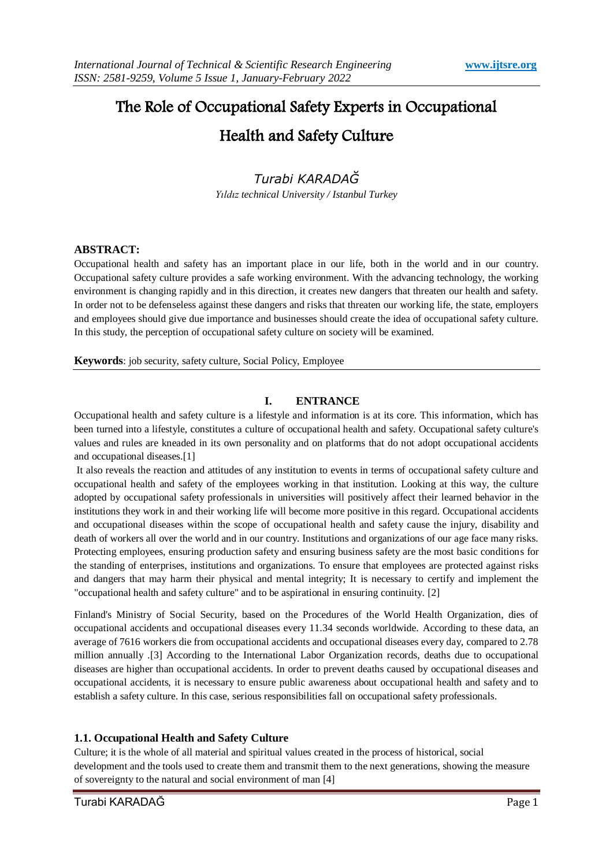# The Role of Occupational Safety Experts in Occupational

# Health and Safety Culture

# *Turabi KARADAĞ*

*Yıldız technical University / Istanbul Turkey*

# **ABSTRACT:**

Occupational health and safety has an important place in our life, both in the world and in our country. Occupational safety culture provides a safe working environment. With the advancing technology, the working environment is changing rapidly and in this direction, it creates new dangers that threaten our health and safety. In order not to be defenseless against these dangers and risks that threaten our working life, the state, employers and employees should give due importance and businesses should create the idea of occupational safety culture. In this study, the perception of occupational safety culture on society will be examined.

**Keywords**: job security, safety culture, Social Policy, Employee

# **I. ENTRANCE**

Occupational health and safety culture is a lifestyle and information is at its core. This information, which has been turned into a lifestyle, constitutes a culture of occupational health and safety. Occupational safety culture's values and rules are kneaded in its own personality and on platforms that do not adopt occupational accidents and occupational diseases.[1]

It also reveals the reaction and attitudes of any institution to events in terms of occupational safety culture and occupational health and safety of the employees working in that institution. Looking at this way, the culture adopted by occupational safety professionals in universities will positively affect their learned behavior in the institutions they work in and their working life will become more positive in this regard. Occupational accidents and occupational diseases within the scope of occupational health and safety cause the injury, disability and death of workers all over the world and in our country. Institutions and organizations of our age face many risks. Protecting employees, ensuring production safety and ensuring business safety are the most basic conditions for the standing of enterprises, institutions and organizations. To ensure that employees are protected against risks and dangers that may harm their physical and mental integrity; It is necessary to certify and implement the "occupational health and safety culture" and to be aspirational in ensuring continuity. [2]

Finland's Ministry of Social Security, based on the Procedures of the World Health Organization, dies of occupational accidents and occupational diseases every 11.34 seconds worldwide. According to these data, an average of 7616 workers die from occupational accidents and occupational diseases every day, compared to 2.78 million annually .[3] According to the International Labor Organization records, deaths due to occupational diseases are higher than occupational accidents. In order to prevent deaths caused by occupational diseases and occupational accidents, it is necessary to ensure public awareness about occupational health and safety and to establish a safety culture. In this case, serious responsibilities fall on occupational safety professionals.

# **1.1. Occupational Health and Safety Culture**

Culture; it is the whole of all material and spiritual values created in the process of historical, social development and the tools used to create them and transmit them to the next generations, showing the measure of sovereignty to the natural and social environment of man [4]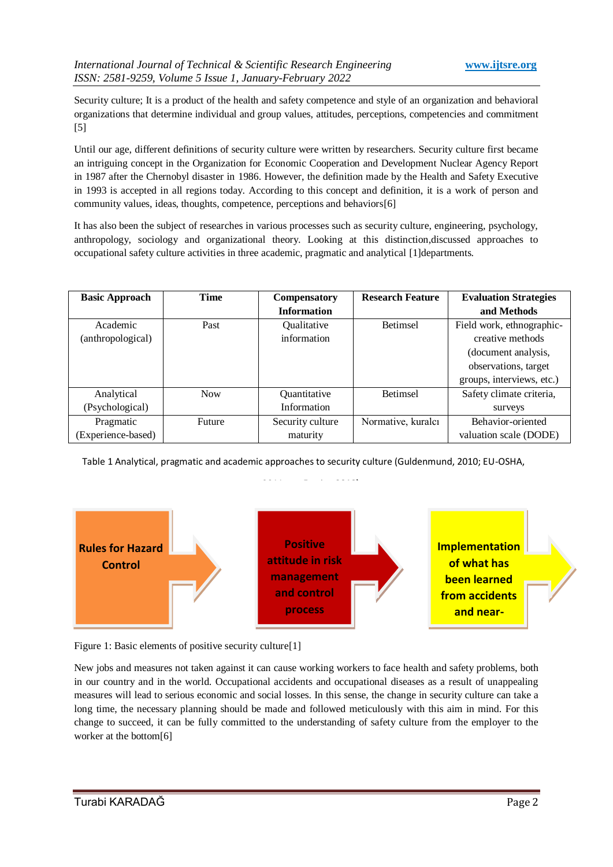Security culture; It is a product of the health and safety competence and style of an organization and behavioral organizations that determine individual and group values, attitudes, perceptions, competencies and commitment [5]

Until our age, different definitions of security culture were written by researchers. Security culture first became an intriguing concept in the Organization for Economic Cooperation and Development Nuclear Agency Report in 1987 after the Chernobyl disaster in 1986. However, the definition made by the Health and Safety Executive in 1993 is accepted in all regions today. According to this concept and definition, it is a work of person and community values, ideas, thoughts, competence, perceptions and behaviors[6]

It has also been the subject of researches in various processes such as security culture, engineering, psychology, anthropology, sociology and organizational theory. Looking at this distinction,discussed approaches to occupational safety culture activities in three academic, pragmatic and analytical [1]departments.

| <b>Basic Approach</b> | <b>Time</b> | <b>Compensatory</b> | <b>Research Feature</b> | <b>Evaluation Strategies</b> |
|-----------------------|-------------|---------------------|-------------------------|------------------------------|
|                       |             | <b>Information</b>  |                         | and Methods                  |
| Academic              | Past        | Qualitative         | <b>Betimsel</b>         | Field work, ethnographic-    |
| (anthropological)     |             | information         |                         | creative methods             |
|                       |             |                     |                         | (document analysis,          |
|                       |             |                     |                         | observations, target         |
|                       |             |                     |                         | groups, interviews, etc.)    |
| Analytical            | <b>Now</b>  | Quantitative        | <b>Betimsel</b>         | Safety climate criteria,     |
| (Psychological)       |             | Information         |                         | surveys                      |
| Pragmatic             | Future      | Security culture    | Normative, kuralcı      | Behavior-oriented            |
| (Experience-based)    |             | maturity            |                         | valuation scale (DODE)       |

Table 1 Analytical, pragmatic and academic approaches to security culture (Guldenmund, 2010; EU-OSHA,

2011 act. Festive,**2018).**



Figure 1: Basic elements of positive security culture<sup>[1]</sup>

New jobs and measures not taken against it can cause working workers to face health and safety problems, both in our country and in the world. Occupational accidents and occupational diseases as a result of unappealing measures will lead to serious economic and social losses. In this sense, the change in security culture can take a long time, the necessary planning should be made and followed meticulously with this aim in mind. For this change to succeed, it can be fully committed to the understanding of safety culture from the employer to the worker at the bottom[6]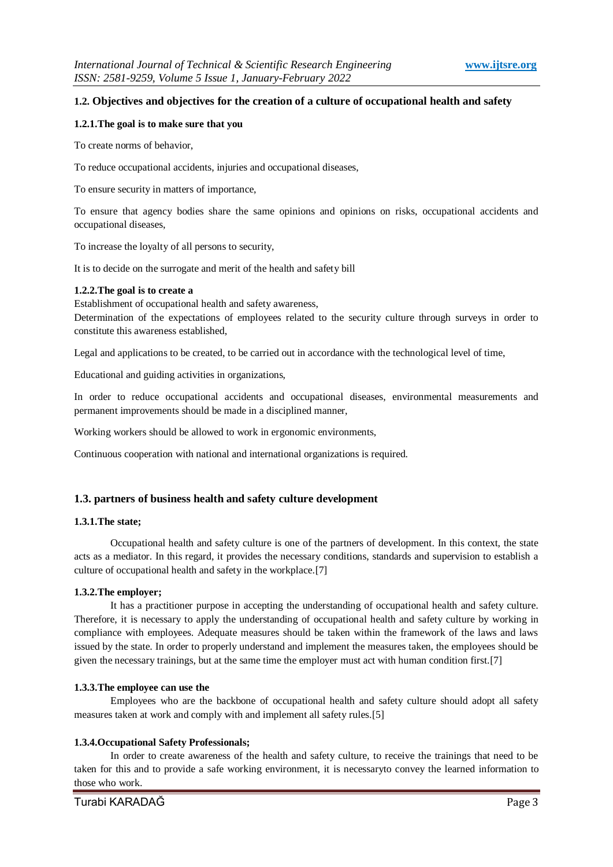### **1.2. Objectives and objectives for the creation of a culture of occupational health and safety**

#### **1.2.1.The goal is to make sure that you**

To create norms of behavior,

To reduce occupational accidents, injuries and occupational diseases,

To ensure security in matters of importance,

To ensure that agency bodies share the same opinions and opinions on risks, occupational accidents and occupational diseases,

To increase the loyalty of all persons to security,

It is to decide on the surrogate and merit of the health and safety bill

#### **1.2.2.The goal is to create a**

Establishment of occupational health and safety awareness,

Determination of the expectations of employees related to the security culture through surveys in order to constitute this awareness established,

Legal and applications to be created, to be carried out in accordance with the technological level of time,

Educational and guiding activities in organizations,

In order to reduce occupational accidents and occupational diseases, environmental measurements and permanent improvements should be made in a disciplined manner,

Working workers should be allowed to work in ergonomic environments,

Continuous cooperation with national and international organizations is required.

#### **1.3. partners of business health and safety culture development**

#### **1.3.1.The state;**

Occupational health and safety culture is one of the partners of development. In this context, the state acts as a mediator. In this regard, it provides the necessary conditions, standards and supervision to establish a culture of occupational health and safety in the workplace.[7]

#### **1.3.2.The employer;**

It has a practitioner purpose in accepting the understanding of occupational health and safety culture. Therefore, it is necessary to apply the understanding of occupational health and safety culture by working in compliance with employees. Adequate measures should be taken within the framework of the laws and laws issued by the state. In order to properly understand and implement the measures taken, the employees should be given the necessary trainings, but at the same time the employer must act with human condition first.[7]

#### **1.3.3.The employee can use the**

Employees who are the backbone of occupational health and safety culture should adopt all safety measures taken at work and comply with and implement all safety rules.[5]

#### **1.3.4.Occupational Safety Professionals;**

In order to create awareness of the health and safety culture, to receive the trainings that need to be taken for this and to provide a safe working environment, it is necessaryto convey the learned information to those who work.